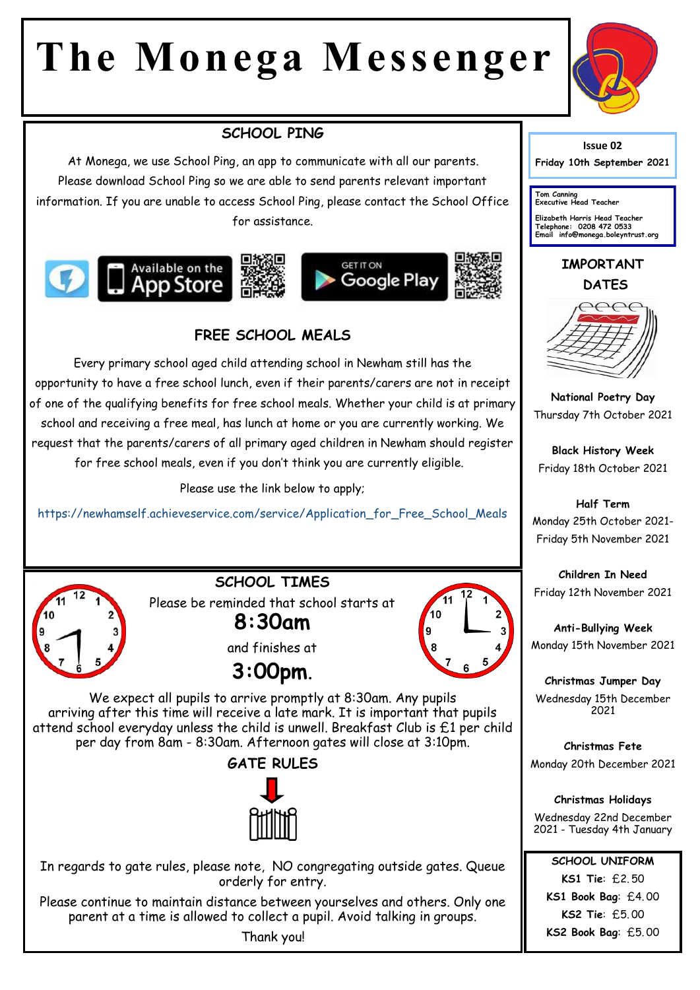# **The Monega Messenger**



## **SCHOOL PING**

At Monega, we use School Ping, an app to communicate with all our parents. Please download School Ping so we are able to send parents relevant important information. If you are unable to access School Ping, please contact the School Office for assistance.









## **FREE SCHOOL MEALS**

Every primary school aged child attending school in Newham still has the opportunity to have a free school lunch, even if their parents/carers are not in receipt of one of the qualifying benefits for free school meals. Whether your child is at primary school and receiving a free meal, has lunch at home or you are currently working. We request that the parents/carers of all primary aged children in Newham should register for free school meals, even if you don't think you are currently eligible.

Please use the link below to apply;

https://newhamself.achieveservice.com/service/Application\_for\_Free\_School\_Meals



**SCHOOL TIMES**

Please be reminded that school starts at **8:30am** 



and finishes at



We expect all pupils to arrive promptly at 8:30am. Any pupils arriving after this time will receive a late mark. It is important that pupils attend school everyday unless the child is unwell. Breakfast Club is £1 per child per day from 8am - 8:30am. Afternoon gates will close at 3:10pm.



In regards to gate rules, please note, NO congregating outside gates. Queue orderly for entry.

Please continue to maintain distance between yourselves and others. Only one parent at a time is allowed to collect a pupil. Avoid talking in groups.

Thank you!



**Friday 10th September 2021** 

**Tom Canning Executive Head Teacher**

**Elizabeth Harris Head Teacher Telephone: 0208 472 0533 Email info@monega.boleyntrust.org** 

#### **IMPORTANT DATES**



**National Poetry Day** Thursday 7th October 2021

**Black History Week** Friday 18th October 2021

**Half Term** Monday 25th October 2021- Friday 5th November 2021

**Children In Need** Friday 12th November 2021

**Anti-Bullying Week** Monday 15th November 2021

**Christmas Jumper Day** Wednesday 15th December 2021

**Christmas Fete** Monday 20th December 2021

**Christmas Holidays** Wednesday 22nd December 2021 - Tuesday 4th January

**SCHOOL UNIFORM KS1 Tie**: £2. 50 **KS1 Book Bag**: £4. 00 **KS2 Tie**: £5. 00 **KS2 Book Bag**: £5. 00